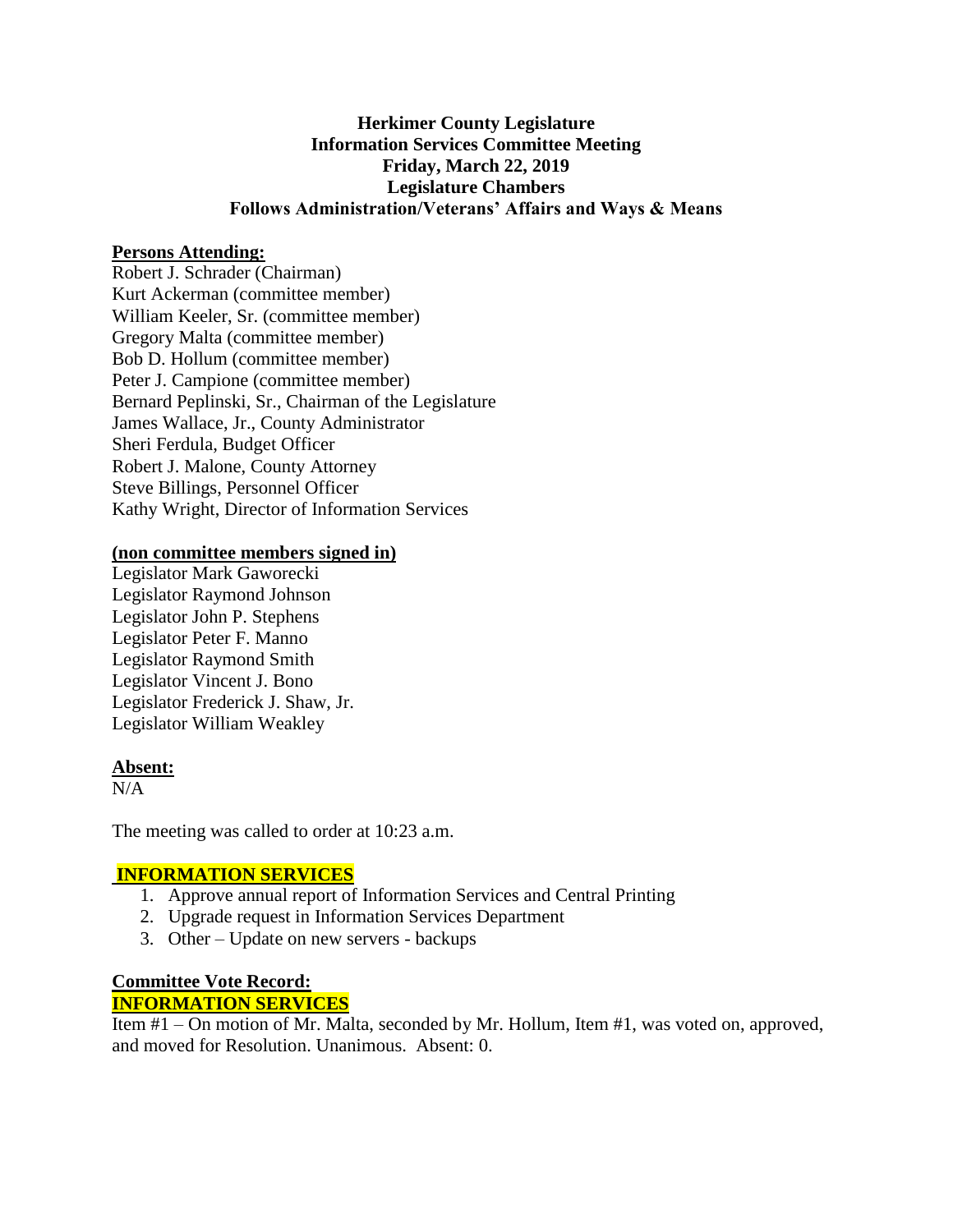# **Herkimer County Legislature Information Services Committee Meeting Friday, March 22, 2019 Legislature Chambers Follows Administration/Veterans' Affairs and Ways & Means**

# **Persons Attending:**

Robert J. Schrader (Chairman) Kurt Ackerman (committee member) William Keeler, Sr. (committee member) Gregory Malta (committee member) Bob D. Hollum (committee member) Peter J. Campione (committee member) Bernard Peplinski, Sr., Chairman of the Legislature James Wallace, Jr., County Administrator Sheri Ferdula, Budget Officer Robert J. Malone, County Attorney Steve Billings, Personnel Officer Kathy Wright, Director of Information Services

### **(non committee members signed in)**

Legislator Mark Gaworecki Legislator Raymond Johnson Legislator John P. Stephens Legislator Peter F. Manno Legislator Raymond Smith Legislator Vincent J. Bono Legislator Frederick J. Shaw, Jr. Legislator William Weakley

#### **Absent:**

N/A

The meeting was called to order at 10:23 a.m.

# **INFORMATION SERVICES**

- 1. Approve annual report of Information Services and Central Printing
- 2. Upgrade request in Information Services Department
- 3. Other Update on new servers backups

### **Committee Vote Record: INFORMATION SERVICES**

Item #1 – On motion of Mr. Malta, seconded by Mr. Hollum, Item #1, was voted on, approved, and moved for Resolution. Unanimous. Absent: 0.